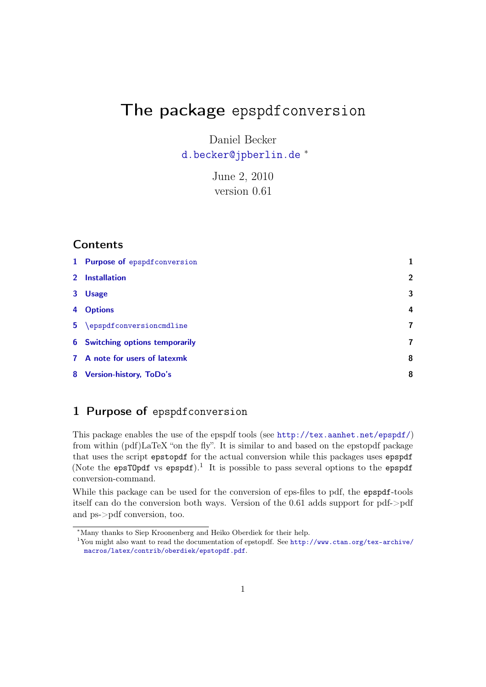# The package epspdfconversion

Daniel Becker [d.becker@jpberlin.de](mailto:d.becker@jpberlin.de) <sup>∗</sup>

> June 2, 2010 version 0.61

### **Contents**

| 1 Purpose of epspdfconversion   |                |
|---------------------------------|----------------|
| 2 Installation                  | $\overline{2}$ |
| 3 Usage                         | 3              |
| 4 Options                       | 4              |
| 5 \epspdfconversioncmdline      | 7              |
| 6 Switching options temporarily | 7              |
| 7 A note for users of latexmk   | 8              |
| 8 Version-history, ToDo's       | 8              |

# <span id="page-0-0"></span>1 Purpose of epspdfconversion

This package enables the use of the epspdf tools (see <http://tex.aanhet.net/epspdf/>) from within (pdf)LaTeX "on the fly". It is similar to and based on the epstopdf package that uses the script epstopdf for the actual conversion while this packages uses epspdf (Note the epsT0pdf vs epspdf).<sup>1</sup> It is possible to pass several options to the epspdf conversion-command.

While this package can be used for the conversion of eps-files to pdf, the epspdf-tools itself can do the conversion both ways. Version of the 0.61 adds support for pdf->pdf and ps->pdf conversion, too.

 $^*$ Many thanks to Siep Kroonenberg and Heiko Oberdiek for their help.

<sup>1</sup>You might also want to read the documentation of epstopdf. See [http://www.ctan.org/tex-archive/](http://www.ctan.org/tex-archive/macros/latex/contrib/oberdiek/epstopdf.pdf) [macros/latex/contrib/oberdiek/epstopdf.pdf](http://www.ctan.org/tex-archive/macros/latex/contrib/oberdiek/epstopdf.pdf).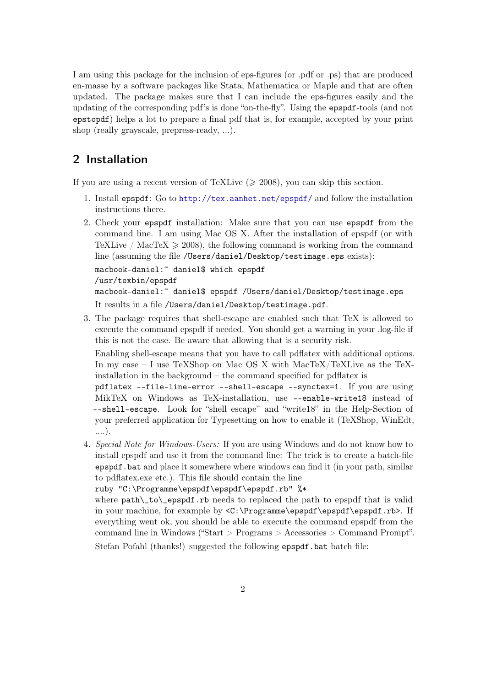I am using this package for the inclusion of eps-figures (or .pdf or .ps) that are produced en-masse by a software packages like Stata, Mathematica or Maple and that are often updated. The package makes sure that I can include the eps-figures easily and the updating of the corresponding pdf's is done "on-the-fly". Using the epspdf-tools (and not epstopdf) helps a lot to prepare a final pdf that is, for example, accepted by your print shop (really grayscale, prepress-ready, ...).

## <span id="page-1-0"></span>2 Installation

If you are using a recent version of TeXLive  $(\geq 2008)$ , you can skip this section.

- 1. Install epspdf: Go to <http://tex.aanhet.net/epspdf/> and follow the installation instructions there.
- 2. Check your epspdf installation: Make sure that you can use epspdf from the command line. I am using Mac OS X. After the installation of epspdf (or with TeXLive / MacTeX  $\geq$  2008), the following command is working from the command line (assuming the file /Users/daniel/Desktop/testimage.eps exists):

```
macbook-daniel:~ daniel$ which epspdf
/usr/texbin/epspdf
macbook-daniel:~ daniel$ epspdf /Users/daniel/Desktop/testimage.eps
It results in a file /Users/daniel/Desktop/testimage.pdf.
```
3. The package requires that shell-escape are enabled such that TeX is allowed to execute the command epspdf if needed. You should get a warning in your .log-file if this is not the case. Be aware that allowing that is a security risk.

Enabling shell-escape means that you have to call pdflatex with additional options. In my case – I use TeXShop on Mac OS X with MacTeX/TeXLive as the TeXinstallation in the background – the command specified for pdflatex is

pdflatex --file-line-error --shell-escape --synctex=1. If you are using MikTeX on Windows as TeX-installation, use --enable-write18 instead of --shell-escape. Look for "shell escape" and "write18" in the Help-Section of your preferred application for Typesetting on how to enable it (TeXShop, WinEdt, ....).

4. Special Note for Windows-Users: If you are using Windows and do not know how to install epspdf and use it from the command line: The trick is to create a batch-file epspdf.bat and place it somewhere where windows can find it (in your path, similar to pdflatex.exe etc.). This file should contain the line

```
ruby "C:\Programme\epspdf\epspdf\epspdf.rb" %*
```
where path\\_to\\_epspdf.rb needs to replaced the path to epspdf that is valid in your machine, for example by <C:\Programme\epspdf\epspdf\epspdf.rb>. If everything went ok, you should be able to execute the command epspdf from the command line in Windows ("Start > Programs > Accessories > Command Prompt". Stefan Pofahl (thanks!) suggested the following epspdf.bat batch file: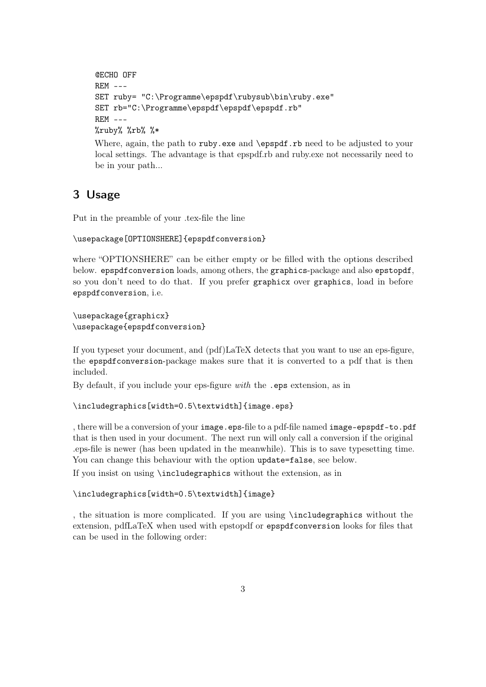```
@ECHO OFF
REM ---SET ruby= "C:\Programme\epspdf\rubysub\bin\ruby.exe"
SET rb="C:\Programme\epspdf\epspdf\epspdf.rb"
REM ---
%ruby% %rb% %*
```
Where, again, the path to ruby.exe and \epspdf.rb need to be adjusted to your local settings. The advantage is that epspdf.rb and ruby.exe not necessarily need to be in your path...

### <span id="page-2-0"></span>3 Usage

Put in the preamble of your .tex-file the line

#### \usepackage[OPTIONSHERE]{epspdfconversion}

where "OPTIONSHERE" can be either empty or be filled with the options described below. epspdfconversion loads, among others, the graphics-package and also epstopdf, so you don't need to do that. If you prefer graphicx over graphics, load in before epspdfconversion, i.e.

\usepackage{graphicx} \usepackage{epspdfconversion}

If you typeset your document, and (pdf)LaTeX detects that you want to use an eps-figure, the epspdfconversion-package makes sure that it is converted to a pdf that is then included.

By default, if you include your eps-figure with the .eps extension, as in

\includegraphics[width=0.5\textwidth]{image.eps}

, there will be a conversion of your image.eps-file to a pdf-file named image-epspdf-to.pdf that is then used in your document. The next run will only call a conversion if the original .eps-file is newer (has been updated in the meanwhile). This is to save typesetting time. You can change this behaviour with the option update=false, see below. If you insist on using \includegraphics without the extension, as in

#### \includegraphics[width=0.5\textwidth]{image}

, the situation is more complicated. If you are using \includegraphics without the extension, pdfLaTeX when used with epstopdf or epspdfconversion looks for files that can be used in the following order: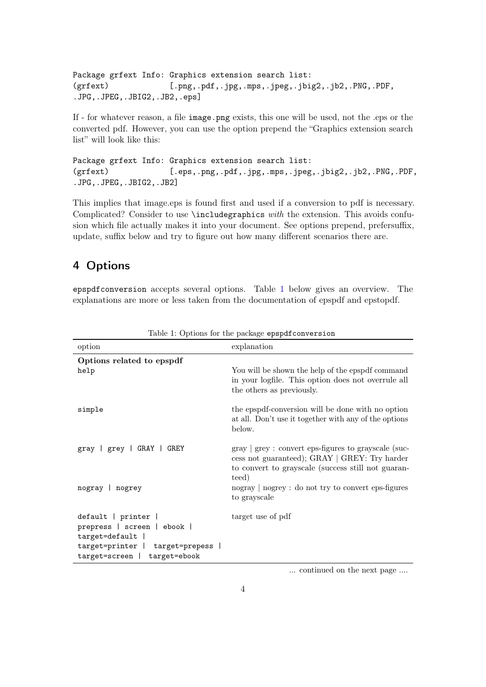Package grfext Info: Graphics extension search list: (grfext) [.png,.pdf,.jpg,.mps,.jpeg,.jbig2,.jb2,.PNG,.PDF, .JPG,.JPEG,.JBIG2,.JB2,.eps]

If - for whatever reason, a file image.png exists, this one will be used, not the .eps or the converted pdf. However, you can use the option prepend the "Graphics extension search list" will look like this:

Package grfext Info: Graphics extension search list: (grfext) [.eps,.png,.pdf,.jpg,.mps,.jpeg,.jbig2,.jb2,.PNG,.PDF, .JPG,.JPEG,.JBIG2,.JB2]

This implies that image.eps is found first and used if a conversion to pdf is necessary. Complicated? Consider to use \includegraphics with the extension. This avoids confusion which file actually makes it into your document. See options prepend, prefersuffix, update, suffix below and try to figure out how many different scenarios there are.

# <span id="page-3-0"></span>4 Options

<span id="page-3-1"></span>epspdfconversion accepts several options. Table [1](#page-3-1) below gives an overview. The explanations are more or less taken from the documentation of epspdf and epstopdf.

| option                                                                                                                                      | explanation                                                                                                                                                                                                       |
|---------------------------------------------------------------------------------------------------------------------------------------------|-------------------------------------------------------------------------------------------------------------------------------------------------------------------------------------------------------------------|
| Options related to epspdf<br>help                                                                                                           | You will be shown the help of the epspdf command<br>in your logfile. This option does not overrule all<br>the others as previously.                                                                               |
| simple                                                                                                                                      | the epspdf-conversion will be done with no option<br>at all. Don't use it together with any of the options<br>below.                                                                                              |
| gray   grey   GRAY   GREY                                                                                                                   | $gray \mid grey : convert \text{ }eps\text{-}figures \text{ }to \text{ }grayscale \text{ } (suc-$<br>cess not guaranteed); GRAY   GREY: Try harder<br>to convert to grayscale (success still not guaran-<br>teed) |
| nogray   nogrey                                                                                                                             | $\log$ ray   nogrey : do not try to convert eps-figures<br>to grayscale                                                                                                                                           |
| default   printer  <br>prepress   screen   ebook  <br>$target=default$<br>target=printer   target=prepess  <br>target=screen   target=ebook | target use of pdf                                                                                                                                                                                                 |

Table 1: Options for the package epspdfconversion

... continued on the next page ....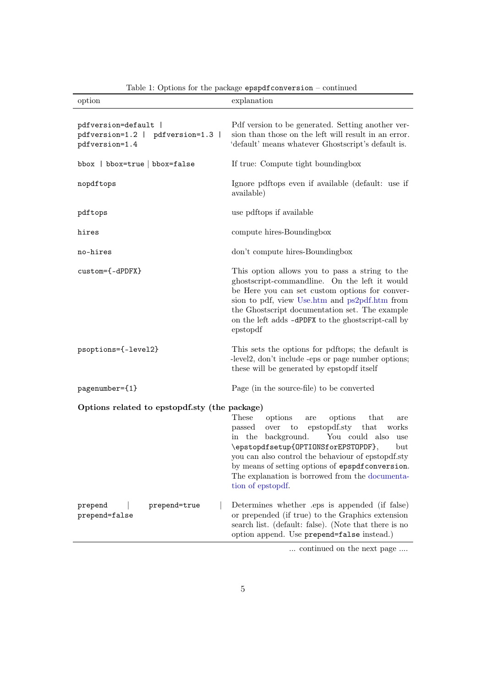| option                                                                      | explanation                                                                                                                                                                                                                                                                                                                                                                          |
|-----------------------------------------------------------------------------|--------------------------------------------------------------------------------------------------------------------------------------------------------------------------------------------------------------------------------------------------------------------------------------------------------------------------------------------------------------------------------------|
| pdfversion=default  <br>pdfversion=1.2   pdfversion=1.3  <br>pdfversion=1.4 | Pdf version to be generated. Setting another ver-<br>sion than those on the left will result in an error.<br>'default' means whatever Ghostscript's default is.                                                                                                                                                                                                                      |
| bbox   bbox=true   bbox=false                                               | If true: Compute tight boundingbox                                                                                                                                                                                                                                                                                                                                                   |
| nopdftops                                                                   | Ignore pdftops even if available (default: use if<br>available)                                                                                                                                                                                                                                                                                                                      |
| pdftops                                                                     | use pdftops if available                                                                                                                                                                                                                                                                                                                                                             |
| hires                                                                       | compute hires-Boundingbox                                                                                                                                                                                                                                                                                                                                                            |
| no-hires                                                                    | don't compute hires-Boundingbox                                                                                                                                                                                                                                                                                                                                                      |
| custom={-dPDFX}                                                             | This option allows you to pass a string to the<br>ghostscript-commandline. On the left it would<br>be Here you can set custom options for conver-<br>sion to pdf, view Use.htm and ps2pdf.htm from<br>the Ghostscript documentation set. The example<br>on the left adds -dPDFX to the ghostscript-call by<br>epstopdf                                                               |
| psoptions={-level2}                                                         | This sets the options for pdftops; the default is<br>-level2, don't include -eps or page number options;<br>these will be generated by epstopdf itself                                                                                                                                                                                                                               |
| pagenumber={1}                                                              | Page (in the source-file) to be converted                                                                                                                                                                                                                                                                                                                                            |
| Options related to epstopdf.sty (the package)                               | These<br>options<br>options<br>that<br>are<br>are<br>epstopdf.sty that<br>over to<br>works<br>passed<br>in the background.<br>You could also<br>use<br>\epstopdfsetup{OPTIONSforEPSTOPDF},<br>but<br>you can also control the behaviour of epstopdf.sty<br>by means of setting options of epspdf conversion.<br>The explanation is borrowed from the documenta-<br>tion of epstopdf. |
| prepend=true<br>prepend<br>prepend=false                                    | Determines whether eps is appended (if false)<br>or prepended (if true) to the Graphics extension<br>search list. (default: false). (Note that there is no<br>option append. Use prepend=false instead.)                                                                                                                                                                             |

Table 1: Options for the package epspdfconversion – continued

... continued on the next page ....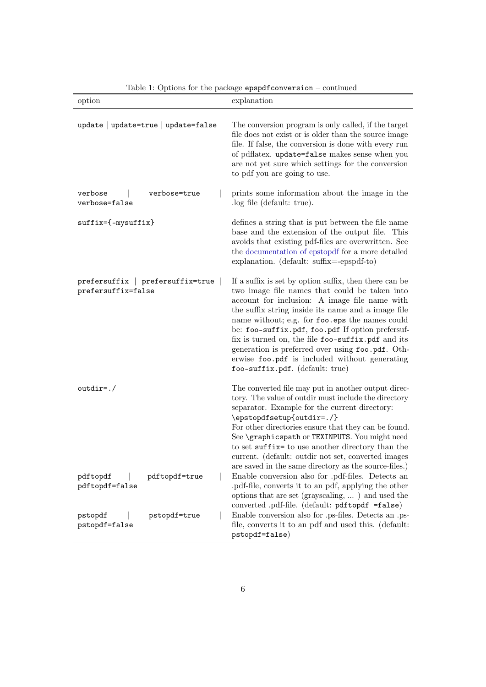| option                                                 | explanation                                                                                                                                                                                                                                                                                                                                                                                                                                                                                                       |
|--------------------------------------------------------|-------------------------------------------------------------------------------------------------------------------------------------------------------------------------------------------------------------------------------------------------------------------------------------------------------------------------------------------------------------------------------------------------------------------------------------------------------------------------------------------------------------------|
| update   update=true   update=false                    | The conversion program is only called, if the target<br>file does not exist or is older than the source image<br>file. If false, the conversion is done with every run<br>of pdflatex. update=false makes sense when you<br>are not yet sure which settings for the conversion<br>to pdf you are going to use.                                                                                                                                                                                                    |
| verbose<br>verbose=true<br>verbose=false               | prints some information about the image in the<br>log file (default: true).                                                                                                                                                                                                                                                                                                                                                                                                                                       |
| $\texttt{suffix}=\{-\texttt{mysuffix}\}$               | defines a string that is put between the file name<br>base and the extension of the output file. This<br>avoids that existing pdf-files are overwritten. See<br>the documentation of epstopdf for a more detailed<br>explanation. (default: suffix=-epspdf-to)                                                                                                                                                                                                                                                    |
| prefersuffix   prefersuffix=true<br>prefersuffix=false | If a suffix is set by option suffix, then there can be<br>two image file names that could be taken into<br>account for inclusion: A image file name with<br>the suffix string inside its name and a image file<br>name without; e.g. for foo.eps the names could<br>be: foo-suffix.pdf, foo.pdf If option prefersuf-<br>fix is turned on, the file foo-suffix.pdf and its<br>generation is preferred over using foo.pdf. Oth-<br>erwise foo.pdf is included without generating<br>foo-suffix.pdf. (default: true) |
| $outdir=./$                                            | The converted file may put in another output direc-<br>tory. The value of outdir must include the directory<br>separator. Example for the current directory:<br>\epstopdfsetup{outdir=./}<br>For other directories ensure that they can be found.<br>See \graphicspath or TEXINPUTS. You might need<br>to set suffix= to use another directory than the<br>current. (default: outdir not set, converted images                                                                                                    |
| pdftopdf<br>pdftopdf=true<br>pdftopdf=false            | are saved in the same directory as the source-files.)<br>Enable conversion also for .pdf-files. Detects an<br>pdf-file, converts it to an pdf, applying the other<br>options that are set (grayscaling, ) and used the<br>converted .pdf-file. (default: pdftopdf =false)                                                                                                                                                                                                                                         |
| pstopdf<br>pstopdf=true<br>pstopdf=false               | Enable conversion also for .ps-files. Detects an .ps-<br>file, converts it to an pdf and used this. (default:<br>pstopdf=false)                                                                                                                                                                                                                                                                                                                                                                                   |

Table 1: Options for the package  $\mathtt{epspdf} \mathtt{conversion}$  – continued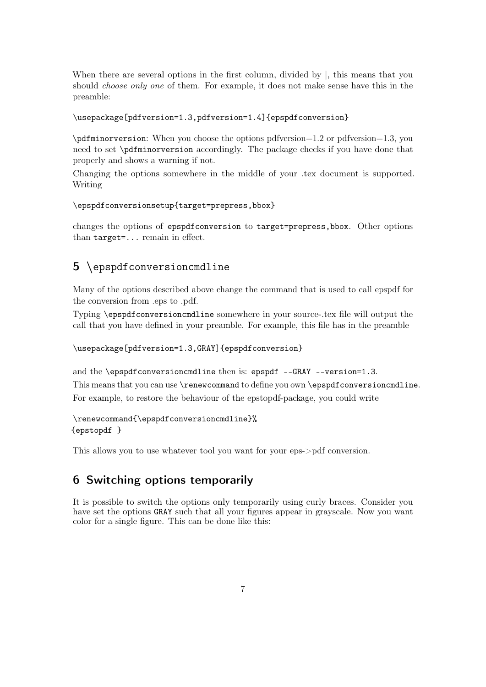When there are several options in the first column, divided by |, this means that you should *choose only one* of them. For example, it does not make sense have this in the preamble:

#### \usepackage[pdfversion=1.3,pdfversion=1.4]{epspdfconversion}

\pdfminorversion: When you choose the options pdfversion=1.2 or pdfversion=1.3, you need to set \pdfminorversion accordingly. The package checks if you have done that properly and shows a warning if not.

Changing the options somewhere in the middle of your .tex document is supported. Writing

#### \epspdfconversionsetup{target=prepress,bbox}

changes the options of epspdfconversion to target=prepress,bbox. Other options than target=... remain in effect.

# <span id="page-6-0"></span>5 \epspdfconversioncmdline

Many of the options described above change the command that is used to call epspdf for the conversion from .eps to .pdf.

Typing \epspdfconversioncmdline somewhere in your source-.tex file will output the call that you have defined in your preamble. For example, this file has in the preamble

#### \usepackage[pdfversion=1.3,GRAY]{epspdfconversion}

and the \epspdfconversioncmdline then is: epspdf --GRAY --version=1.3. This means that you can use \renewcommand to define you own \epspdfconversioncmdline. For example, to restore the behaviour of the epstopdf-package, you could write

\renewcommand{\epspdfconversioncmdline}% {epstopdf }

This allows you to use whatever tool you want for your eps->pdf conversion.

## <span id="page-6-1"></span>6 Switching options temporarily

It is possible to switch the options only temporarily using curly braces. Consider you have set the options GRAY such that all your figures appear in grayscale. Now you want color for a single figure. This can be done like this: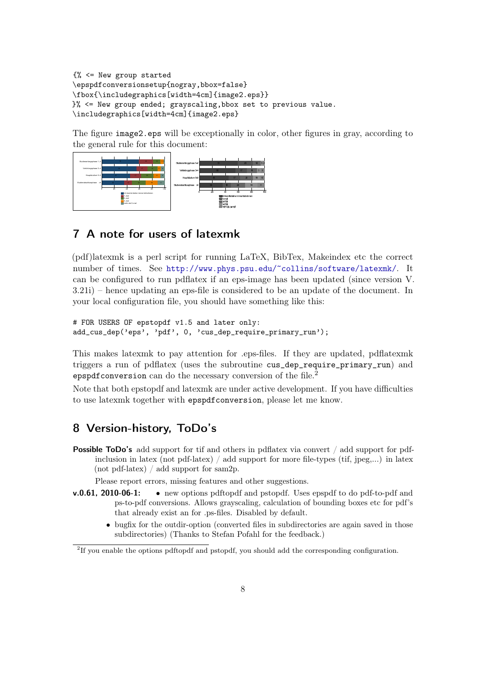```
{% <= New group started
\epspdfconversionsetup{nogray,bbox=false}
\fbox{\includegraphics[width=4cm]{image2.eps}}
}% <= New group ended; grayscaling,bbox set to previous value.
\includegraphics[width=4cm]{image2.eps}
```
The figure image2.eps will be exceptionally in color, other figures in gray, according to the general rule for this document:



# <span id="page-7-0"></span>7 A note for users of latexmk

(pdf)latexmk is a perl script for running LaTeX, BibTex, Makeindex etc the correct number of times. See <http://www.phys.psu.edu/~collins/software/latexmk/>. It can be configured to run pdflatex if an eps-image has been updated (since version V. 3.21i) – hence updating an eps-file is considered to be an update of the document. In your local configuration file, you should have something like this:

```
# FOR USERS OF epstopdf v1.5 and later only:
add_cus_dep('eps', 'pdf', 0, 'cus_dep_require_primary_run');
```
This makes latexmk to pay attention for .eps-files. If they are updated, pdflatexmk triggers a run of pdflatex (uses the subroutine cus\_dep\_require\_primary\_run) and epspdf conversion can do the necessary conversion of the file.<sup>2</sup>

Note that both epstopdf and latexmk are under active development. If you have difficulties to use latexmk together with epspdfconversion, please let me know.

## <span id="page-7-1"></span>8 Version-history, ToDo's

**Possible ToDo's** add support for tif and others in pdflatex via convert / add support for pdfinclusion in latex (not pdf-latex) / add support for more file-types (tif, jpeg,...) in latex (not pdf-latex) / add support for sam2p.

Please report errors, missing features and other suggestions.

- v.0.61, 2010-06-1: new options pdftopdf and pstopdf. Uses epspdf to do pdf-to-pdf and ps-to-pdf conversions. Allows grayscaling, calculation of bounding boxes etc for pdf's that already exist an for .ps-files. Disabled by default.
	- bugfix for the outdir-option (converted files in subdirectories are again saved in those subdirectories) (Thanks to Stefan Pofahl for the feedback.)

<sup>&</sup>lt;sup>2</sup>If you enable the options pdftopdf and pstopdf, you should add the corresponding configuration.